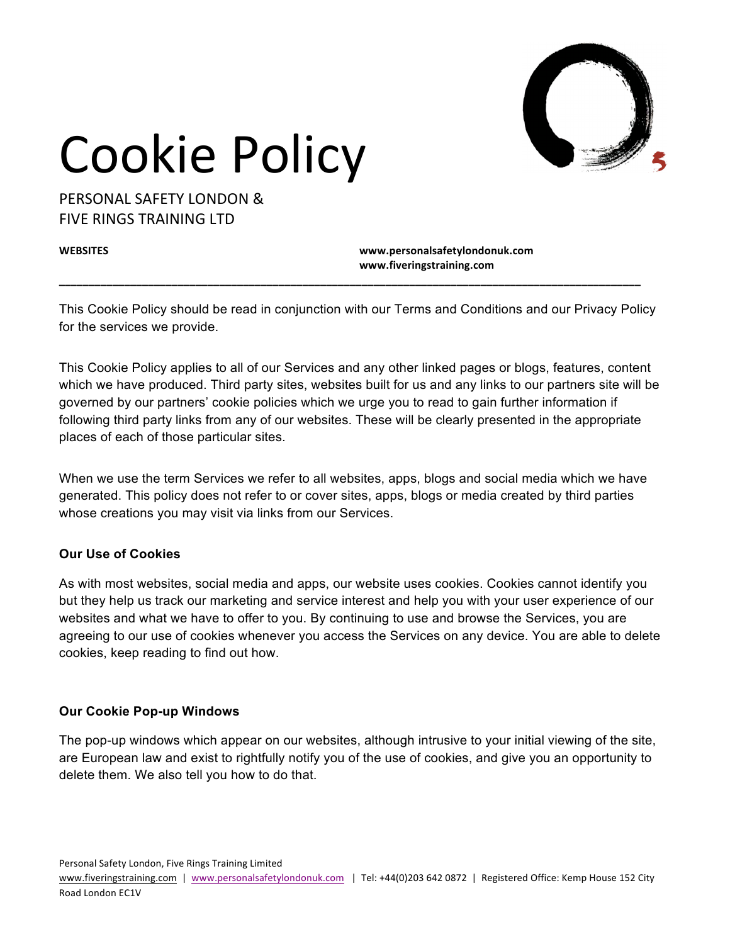

PERSONAL SAFFTY LONDON & **FIVE RINGS TRAINING LTD** 

**WEBSITES www.personalsafetylondonuk.com www.fiveringstraining.com**

This Cookie Policy should be read in conjunction with our Terms and Conditions and our Privacy Policy for the services we provide.

**\_\_\_\_\_\_\_\_\_\_\_\_\_\_\_\_\_\_\_\_\_\_\_\_\_\_\_\_\_\_\_\_\_\_\_\_\_\_\_\_\_\_\_\_\_\_\_\_\_\_\_\_\_\_\_\_\_\_\_\_\_\_\_\_\_\_\_\_\_\_\_\_\_\_\_\_\_\_\_\_\_\_\_\_\_\_\_\_\_\_\_\_\_\_\_\_\_\_**

This Cookie Policy applies to all of our Services and any other linked pages or blogs, features, content which we have produced. Third party sites, websites built for us and any links to our partners site will be governed by our partners' cookie policies which we urge you to read to gain further information if following third party links from any of our websites. These will be clearly presented in the appropriate places of each of those particular sites.

When we use the term Services we refer to all websites, apps, blogs and social media which we have generated. This policy does not refer to or cover sites, apps, blogs or media created by third parties whose creations you may visit via links from our Services.

### **Our Use of Cookies**

As with most websites, social media and apps, our website uses cookies. Cookies cannot identify you but they help us track our marketing and service interest and help you with your user experience of our websites and what we have to offer to you. By continuing to use and browse the Services, you are agreeing to our use of cookies whenever you access the Services on any device. You are able to delete cookies, keep reading to find out how.

#### **Our Cookie Pop-up Windows**

The pop-up windows which appear on our websites, although intrusive to your initial viewing of the site, are European law and exist to rightfully notify you of the use of cookies, and give you an opportunity to delete them. We also tell you how to do that.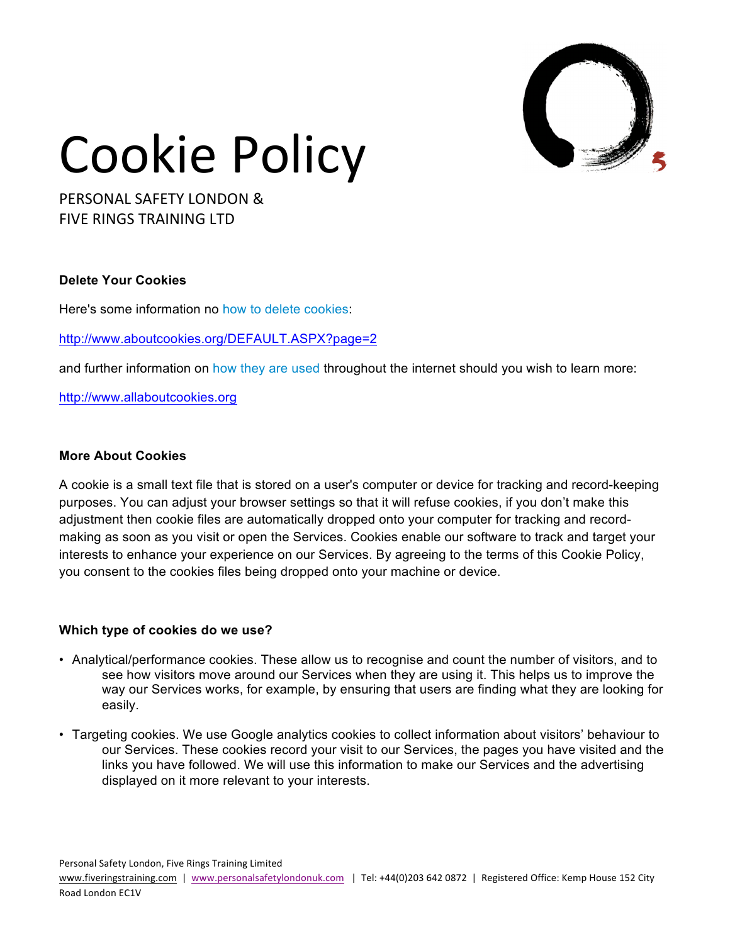

PERSONAL SAFFTY LONDON & **FIVE RINGS TRAINING LTD** 

#### **Delete Your Cookies**

Here's some information no how to delete cookies:

<http://www.aboutcookies.org/DEFAULT.ASPX?page=2>

and further information on how they are used throughout the internet should you wish to learn more:

<http://www.allaboutcookies.org>

#### **More About Cookies**

A cookie is a small text file that is stored on a user's computer or device for tracking and record-keeping purposes. You can adjust your browser settings so that it will refuse cookies, if you don't make this adjustment then cookie files are automatically dropped onto your computer for tracking and recordmaking as soon as you visit or open the Services. Cookies enable our software to track and target your interests to enhance your experience on our Services. By agreeing to the terms of this Cookie Policy, you consent to the cookies files being dropped onto your machine or device.

#### **Which type of cookies do we use?**

- Analytical/performance cookies. These allow us to recognise and count the number of visitors, and to see how visitors move around our Services when they are using it. This helps us to improve the way our Services works, for example, by ensuring that users are finding what they are looking for easily.
- Targeting cookies. We use Google analytics cookies to collect information about visitors' behaviour to our Services. These cookies record your visit to our Services, the pages you have visited and the links you have followed. We will use this information to make our Services and the advertising displayed on it more relevant to your interests.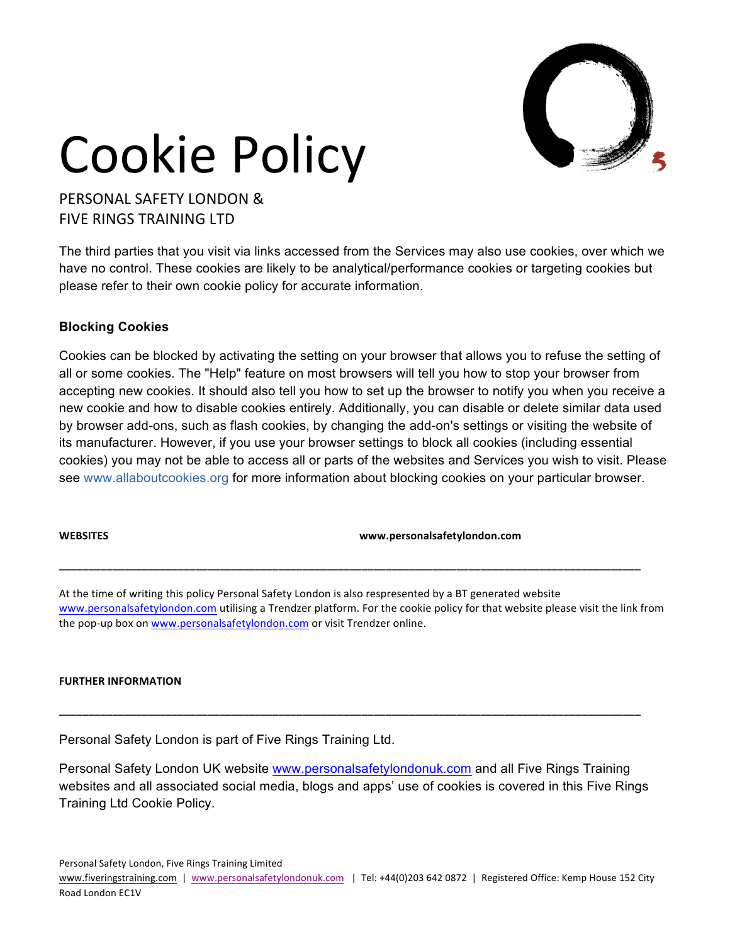

PERSONAL SAFFTY LONDON & **FIVE RINGS TRAINING LTD** 

The third parties that you visit via links accessed from the Services may also use cookies, over which we have no control. These cookies are likely to be analytical/performance cookies or targeting cookies but please refer to their own cookie policy for accurate information.

#### **Blocking Cookies**

Cookies can be blocked by activating the setting on your browser that allows you to refuse the setting of all or some cookies. The "Help" feature on most browsers will tell you how to stop your browser from accepting new cookies. It should also tell you how to set up the browser to notify you when you receive a new cookie and how to disable cookies entirely. Additionally, you can disable or delete similar data used by browser add-ons, such as flash cookies, by changing the add-on's settings or visiting the website of its manufacturer. However, if you use your browser settings to block all cookies (including essential cookies) you may not be able to access all or parts of the websites and Services you wish to visit. Please see [www.allaboutcookies.org](http://www.allaboutcookies.org/) for more information about blocking cookies on your particular browser.

**WEBSITES www.personalsafetylondon.com**

At the time of writing this policy Personal Safety London is also respresented by a BT generated website [www.personalsafetylondon.com](http://www.personalsafetylondon.com) utilising a Trendzer platform. For the cookie policy for that website please visit the link from the pop-up box on [www.personalsafetylondon.com](http://www.personalsafetylondon.com) or visit Trendzer online.

**\_\_\_\_\_\_\_\_\_\_\_\_\_\_\_\_\_\_\_\_\_\_\_\_\_\_\_\_\_\_\_\_\_\_\_\_\_\_\_\_\_\_\_\_\_\_\_\_\_\_\_\_\_\_\_\_\_\_\_\_\_\_\_\_\_\_\_\_\_\_\_\_\_\_\_\_\_\_\_\_\_\_\_\_\_\_\_\_\_\_\_\_\_\_\_\_\_\_**

#### **FURTHER INFORMATION**

Personal Safety London is part of Five Rings Training Ltd.

Personal Safety London UK website [www.personalsafetylondonuk.com](http://www.personalsafetylondonuk.com) and all Five Rings Training websites and all associated social media, blogs and apps' use of cookies is covered in this Five Rings Training Ltd Cookie Policy.

**\_\_\_\_\_\_\_\_\_\_\_\_\_\_\_\_\_\_\_\_\_\_\_\_\_\_\_\_\_\_\_\_\_\_\_\_\_\_\_\_\_\_\_\_\_\_\_\_\_\_\_\_\_\_\_\_\_\_\_\_\_\_\_\_\_\_\_\_\_\_\_\_\_\_\_\_\_\_\_\_\_\_\_\_\_\_\_\_\_\_\_\_\_\_\_\_\_\_**

Personal Safety London, Five Rings Training Limited

www.fiveringstraining.com | [www.personalsafetylondonuk.com](http://www.personalsafetylondon.com) | Tel: +44(0)203 642 0872 | Registered Office: Kemp House 152 City Road London EC1V